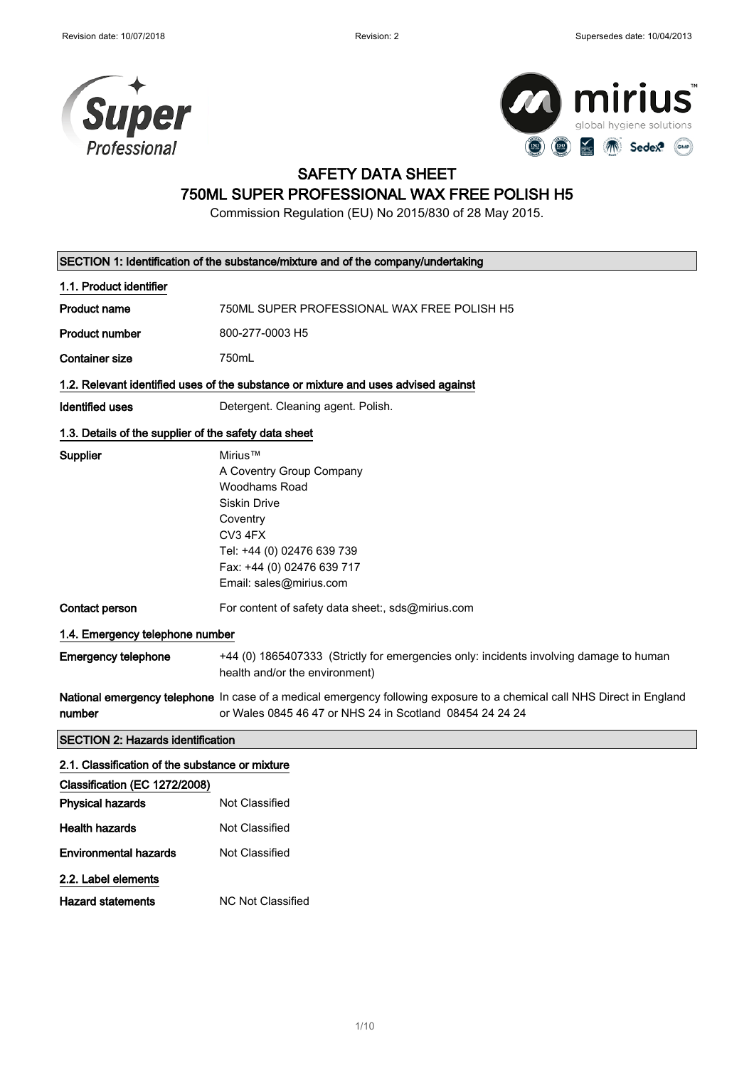



### SAFETY DATA SHEET

# 750ML SUPER PROFESSIONAL WAX FREE POLISH H5

Commission Regulation (EU) No 2015/830 of 28 May 2015.

|                                                       | SECTION 1: Identification of the substance/mixture and of the company/undertaking                                                                                                         |  |
|-------------------------------------------------------|-------------------------------------------------------------------------------------------------------------------------------------------------------------------------------------------|--|
| 1.1. Product identifier                               |                                                                                                                                                                                           |  |
| <b>Product name</b>                                   | 750ML SUPER PROFESSIONAL WAX FREE POLISH H5                                                                                                                                               |  |
| <b>Product number</b>                                 | 800-277-0003 H5                                                                                                                                                                           |  |
| <b>Container size</b>                                 | 750mL                                                                                                                                                                                     |  |
|                                                       | 1.2. Relevant identified uses of the substance or mixture and uses advised against                                                                                                        |  |
| Identified uses                                       | Detergent. Cleaning agent. Polish.                                                                                                                                                        |  |
| 1.3. Details of the supplier of the safety data sheet |                                                                                                                                                                                           |  |
| Supplier                                              | Mirius™<br>A Coventry Group Company<br>Woodhams Road<br><b>Siskin Drive</b><br>Coventry<br>CV3 4FX<br>Tel: +44 (0) 02476 639 739<br>Fax: +44 (0) 02476 639 717<br>Email: sales@mirius.com |  |
| Contact person                                        | For content of safety data sheet:, sds@mirius.com                                                                                                                                         |  |
| 1.4. Emergency telephone number                       |                                                                                                                                                                                           |  |
| <b>Emergency telephone</b>                            | +44 (0) 1865407333 (Strictly for emergencies only: incidents involving damage to human<br>health and/or the environment)                                                                  |  |
| number                                                | National emergency telephone In case of a medical emergency following exposure to a chemical call NHS Direct in England<br>or Wales 0845 46 47 or NHS 24 in Scotland 08454 24 24 24       |  |
| <b>SECTION 2: Hazards identification</b>              |                                                                                                                                                                                           |  |
| 2.1. Classification of the substance or mixture       |                                                                                                                                                                                           |  |
| Classification (EC 1272/2008)                         |                                                                                                                                                                                           |  |
| <b>Physical hazards</b>                               | Not Classified                                                                                                                                                                            |  |
| <b>Health hazards</b>                                 | Not Classified                                                                                                                                                                            |  |
| <b>Environmental hazards</b>                          | Not Classified                                                                                                                                                                            |  |
| 2.2. Label elements                                   |                                                                                                                                                                                           |  |
| <b>Hazard statements</b>                              | <b>NC Not Classified</b>                                                                                                                                                                  |  |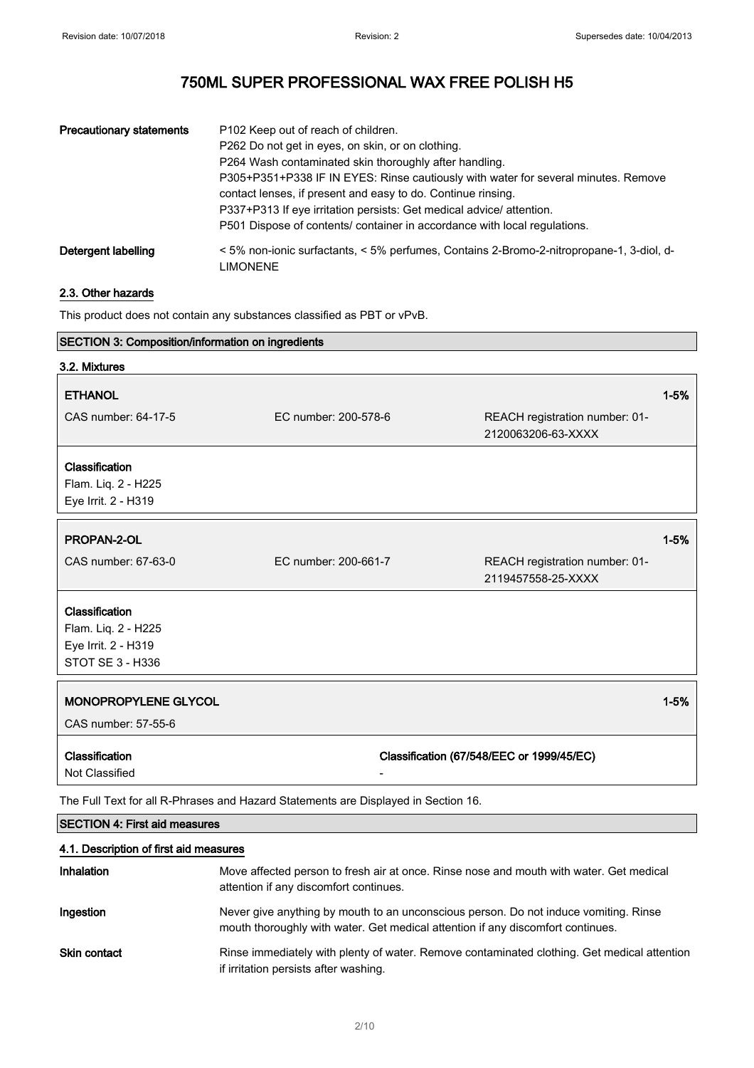| <b>Precautionary statements</b> | P102 Keep out of reach of children.<br>P262 Do not get in eyes, on skin, or on clothing.<br>P264 Wash contaminated skin thoroughly after handling.<br>P305+P351+P338 IF IN EYES: Rinse cautiously with water for several minutes. Remove<br>contact lenses, if present and easy to do. Continue rinsing.<br>P337+P313 If eye irritation persists: Get medical advice/attention.<br>P501 Dispose of contents/ container in accordance with local regulations. |
|---------------------------------|--------------------------------------------------------------------------------------------------------------------------------------------------------------------------------------------------------------------------------------------------------------------------------------------------------------------------------------------------------------------------------------------------------------------------------------------------------------|
| Detergent labelling             | <5% non-ionic surfactants, <5% perfumes, Contains 2-Bromo-2-nitropropane-1, 3-diol, d-<br>LIMONENE                                                                                                                                                                                                                                                                                                                                                           |

### 2.3. Other hazards

This product does not contain any substances classified as PBT or vPvB.

| SECTION 3: Composition/information on ingredients                                  |                      |                                                      |          |
|------------------------------------------------------------------------------------|----------------------|------------------------------------------------------|----------|
| 3.2. Mixtures                                                                      |                      |                                                      |          |
| <b>ETHANOL</b>                                                                     |                      |                                                      | $1 - 5%$ |
| CAS number: 64-17-5                                                                | EC number: 200-578-6 | REACH registration number: 01-<br>2120063206-63-XXXX |          |
| Classification                                                                     |                      |                                                      |          |
| Flam. Liq. 2 - H225                                                                |                      |                                                      |          |
| Eye Irrit. 2 - H319                                                                |                      |                                                      |          |
| PROPAN-2-OL                                                                        |                      |                                                      | $1 - 5%$ |
|                                                                                    |                      |                                                      |          |
| CAS number: 67-63-0                                                                | EC number: 200-661-7 | REACH registration number: 01-<br>2119457558-25-XXXX |          |
| Classification                                                                     |                      |                                                      |          |
| Flam. Liq. 2 - H225                                                                |                      |                                                      |          |
| Eye Irrit. 2 - H319                                                                |                      |                                                      |          |
| STOT SE 3 - H336                                                                   |                      |                                                      |          |
| MONOPROPYLENE GLYCOL                                                               |                      |                                                      | $1 - 5%$ |
|                                                                                    |                      |                                                      |          |
| CAS number: 57-55-6                                                                |                      |                                                      |          |
| Classification                                                                     |                      | Classification (67/548/EEC or 1999/45/EC)            |          |
| Not Classified                                                                     |                      |                                                      |          |
| The Full Text for all R-Phrases and Hazard Statements are Displayed in Section 16. |                      |                                                      |          |

### SECTION 4: First aid measures

### 4.1. Description of first aid measures

| <b>Inhalation</b>   | Move affected person to fresh air at once. Rinse nose and mouth with water. Get medical<br>attention if any discomfort continues.                                       |
|---------------------|-------------------------------------------------------------------------------------------------------------------------------------------------------------------------|
| Ingestion           | Never give anything by mouth to an unconscious person. Do not induce vomiting. Rinse<br>mouth thoroughly with water. Get medical attention if any discomfort continues. |
| <b>Skin contact</b> | Rinse immediately with plenty of water. Remove contaminated clothing. Get medical attention<br>if irritation persists after washing.                                    |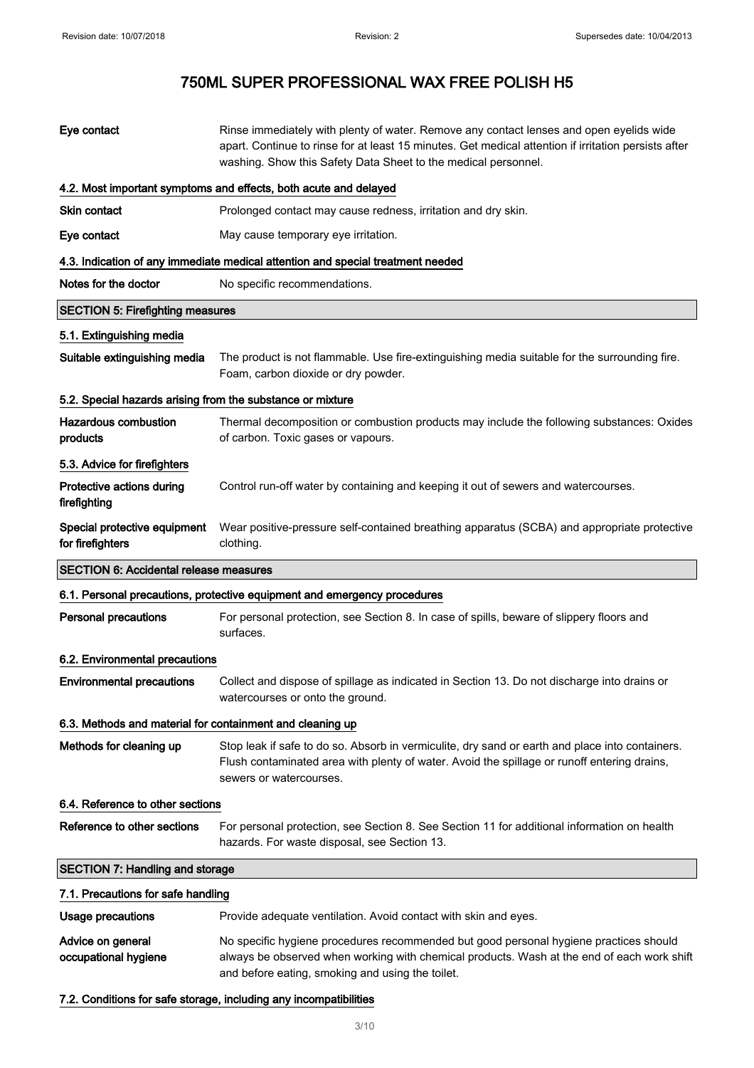| Eye contact                                                | Rinse immediately with plenty of water. Remove any contact lenses and open eyelids wide<br>apart. Continue to rinse for at least 15 minutes. Get medical attention if irritation persists after<br>washing. Show this Safety Data Sheet to the medical personnel. |
|------------------------------------------------------------|-------------------------------------------------------------------------------------------------------------------------------------------------------------------------------------------------------------------------------------------------------------------|
|                                                            | 4.2. Most important symptoms and effects, both acute and delayed                                                                                                                                                                                                  |
| Skin contact                                               | Prolonged contact may cause redness, irritation and dry skin.                                                                                                                                                                                                     |
| Eye contact                                                | May cause temporary eye irritation.                                                                                                                                                                                                                               |
|                                                            | 4.3. Indication of any immediate medical attention and special treatment needed                                                                                                                                                                                   |
| Notes for the doctor                                       | No specific recommendations.                                                                                                                                                                                                                                      |
| <b>SECTION 5: Firefighting measures</b>                    |                                                                                                                                                                                                                                                                   |
| 5.1. Extinguishing media                                   |                                                                                                                                                                                                                                                                   |
| Suitable extinguishing media                               | The product is not flammable. Use fire-extinguishing media suitable for the surrounding fire.<br>Foam, carbon dioxide or dry powder.                                                                                                                              |
| 5.2. Special hazards arising from the substance or mixture |                                                                                                                                                                                                                                                                   |
| <b>Hazardous combustion</b><br>products                    | Thermal decomposition or combustion products may include the following substances: Oxides<br>of carbon. Toxic gases or vapours.                                                                                                                                   |
| 5.3. Advice for firefighters                               |                                                                                                                                                                                                                                                                   |
| Protective actions during<br>firefighting                  | Control run-off water by containing and keeping it out of sewers and watercourses.                                                                                                                                                                                |
| Special protective equipment<br>for firefighters           | Wear positive-pressure self-contained breathing apparatus (SCBA) and appropriate protective<br>clothing.                                                                                                                                                          |
| <b>SECTION 6: Accidental release measures</b>              |                                                                                                                                                                                                                                                                   |
|                                                            | 6.1. Personal precautions, protective equipment and emergency procedures                                                                                                                                                                                          |
| <b>Personal precautions</b>                                | For personal protection, see Section 8. In case of spills, beware of slippery floors and                                                                                                                                                                          |
|                                                            | surfaces.                                                                                                                                                                                                                                                         |
| 6.2. Environmental precautions                             |                                                                                                                                                                                                                                                                   |
| <b>Environmental precautions</b>                           | Collect and dispose of spillage as indicated in Section 13. Do not discharge into drains or<br>watercourses or onto the ground.                                                                                                                                   |
| 6.3. Methods and material for containment and cleaning up  |                                                                                                                                                                                                                                                                   |
| Methods for cleaning up                                    | Stop leak if safe to do so. Absorb in vermiculite, dry sand or earth and place into containers.<br>Flush contaminated area with plenty of water. Avoid the spillage or runoff entering drains,<br>sewers or watercourses.                                         |
| 6.4. Reference to other sections                           |                                                                                                                                                                                                                                                                   |
| Reference to other sections                                | For personal protection, see Section 8. See Section 11 for additional information on health<br>hazards. For waste disposal, see Section 13.                                                                                                                       |
| <b>SECTION 7: Handling and storage</b>                     |                                                                                                                                                                                                                                                                   |
| 7.1. Precautions for safe handling                         |                                                                                                                                                                                                                                                                   |
| Usage precautions                                          | Provide adequate ventilation. Avoid contact with skin and eyes.                                                                                                                                                                                                   |
| Advice on general<br>occupational hygiene                  | No specific hygiene procedures recommended but good personal hygiene practices should<br>always be observed when working with chemical products. Wash at the end of each work shift<br>and before eating, smoking and using the toilet.                           |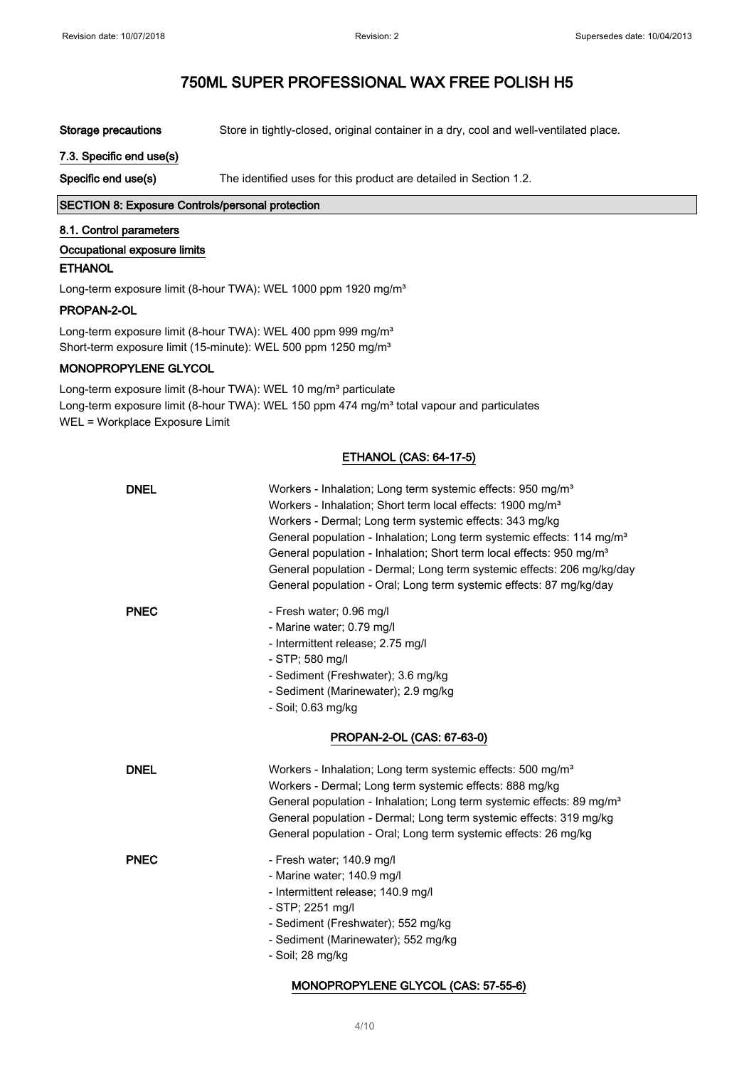Storage precautions Store in tightly-closed, original container in a dry, cool and well-ventilated place.

#### 7.3. Specific end use(s)

Specific end use(s) The identified uses for this product are detailed in Section 1.2.

### SECTION 8: Exposure Controls/personal protection

#### 8.1. Control parameters

#### Occupational exposure limits

#### ETHANOL

Long-term exposure limit (8-hour TWA): WEL 1000 ppm 1920 mg/m<sup>3</sup>

#### PROPAN-2-OL

Long-term exposure limit (8-hour TWA): WEL 400 ppm 999 mg/m<sup>3</sup> Short-term exposure limit (15-minute): WEL 500 ppm 1250 mg/m<sup>3</sup>

### MONOPROPYLENE GLYCOL

Long-term exposure limit (8-hour TWA): WEL 10 mg/m<sup>3</sup> particulate Long-term exposure limit (8-hour TWA): WEL 150 ppm 474 mg/m<sup>3</sup> total vapour and particulates WEL = Workplace Exposure Limit

### ETHANOL (CAS: 64-17-5)

| <b>DNEL</b> | Workers - Inhalation; Long term systemic effects: 950 mg/m <sup>3</sup><br>Workers - Inhalation; Short term local effects: 1900 mg/m <sup>3</sup><br>Workers - Dermal; Long term systemic effects: 343 mg/kg<br>General population - Inhalation; Long term systemic effects: 114 mg/m <sup>3</sup><br>General population - Inhalation; Short term local effects: 950 mg/m <sup>3</sup><br>General population - Dermal; Long term systemic effects: 206 mg/kg/day<br>General population - Oral; Long term systemic effects: 87 mg/kg/day |
|-------------|-----------------------------------------------------------------------------------------------------------------------------------------------------------------------------------------------------------------------------------------------------------------------------------------------------------------------------------------------------------------------------------------------------------------------------------------------------------------------------------------------------------------------------------------|
| <b>PNEC</b> | - Fresh water; 0.96 mg/l<br>- Marine water; 0.79 mg/l<br>- Intermittent release; 2.75 mg/l<br>- STP; 580 mg/l<br>- Sediment (Freshwater); 3.6 mg/kg<br>- Sediment (Marinewater); 2.9 mg/kg<br>- Soil; 0.63 mg/kg<br>PROPAN-2-OL (CAS: 67-63-0)                                                                                                                                                                                                                                                                                          |
| <b>DNEL</b> | Workers - Inhalation; Long term systemic effects: 500 mg/m <sup>3</sup><br>Workers - Dermal; Long term systemic effects: 888 mg/kg<br>General population - Inhalation; Long term systemic effects: 89 mg/m <sup>3</sup><br>General population - Dermal; Long term systemic effects: 319 mg/kg<br>General population - Oral; Long term systemic effects: 26 mg/kg                                                                                                                                                                        |
| <b>PNEC</b> | - Fresh water; 140.9 mg/l<br>- Marine water; 140.9 mg/l<br>- Intermittent release; 140.9 mg/l<br>- STP; 2251 mg/l<br>- Sediment (Freshwater); 552 mg/kg<br>- Sediment (Marinewater); 552 mg/kg<br>- Soil; 28 mg/kg                                                                                                                                                                                                                                                                                                                      |

#### MONOPROPYLENE GLYCOL (CAS: 57-55-6)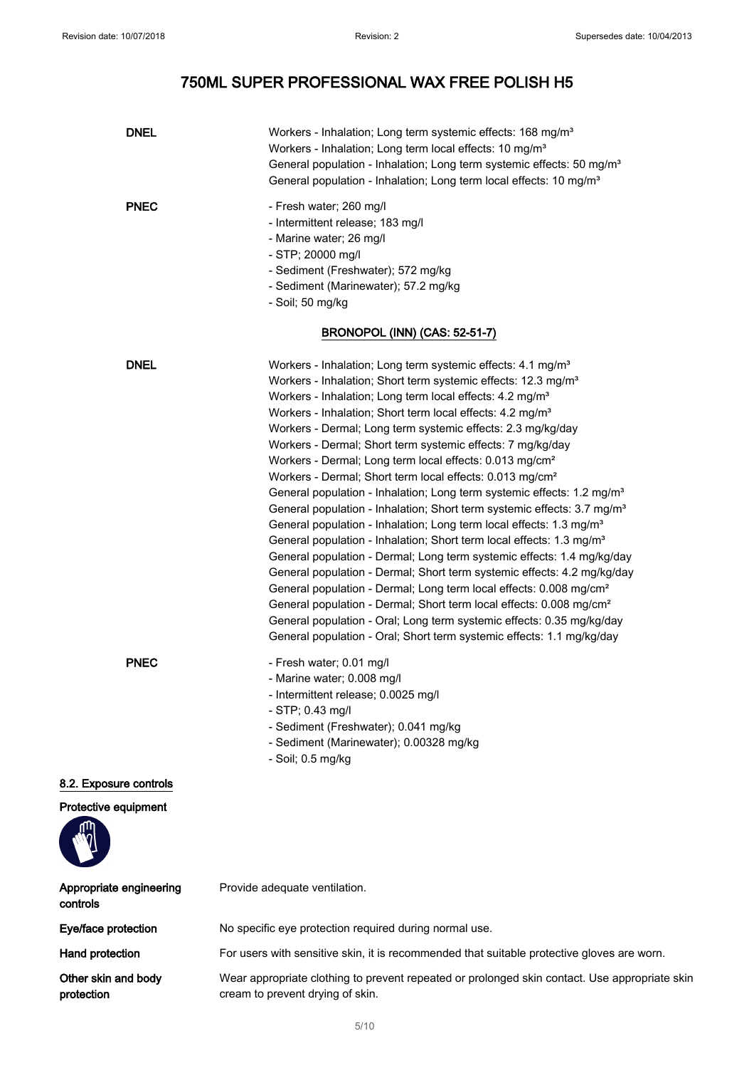# 750ML SUPER PROFESSIONAL WAX FREE POLISH H5

| <b>DNEL</b>                         | Workers - Inhalation; Long term systemic effects: 168 mg/m <sup>3</sup><br>Workers - Inhalation; Long term local effects: 10 mg/m <sup>3</sup><br>General population - Inhalation; Long term systemic effects: 50 mg/m <sup>3</sup><br>General population - Inhalation; Long term local effects: 10 mg/m <sup>3</sup>                                                                                                                                                                                                                                                                                                                                                                                                                                                                                                                                                                                                                                                                                                                                                                                                                                                                                                                                                                                                                                                                                             |
|-------------------------------------|-------------------------------------------------------------------------------------------------------------------------------------------------------------------------------------------------------------------------------------------------------------------------------------------------------------------------------------------------------------------------------------------------------------------------------------------------------------------------------------------------------------------------------------------------------------------------------------------------------------------------------------------------------------------------------------------------------------------------------------------------------------------------------------------------------------------------------------------------------------------------------------------------------------------------------------------------------------------------------------------------------------------------------------------------------------------------------------------------------------------------------------------------------------------------------------------------------------------------------------------------------------------------------------------------------------------------------------------------------------------------------------------------------------------|
| <b>PNEC</b>                         | - Fresh water; 260 mg/l<br>- Intermittent release; 183 mg/l<br>- Marine water; 26 mg/l<br>- STP; 20000 mg/l<br>- Sediment (Freshwater); 572 mg/kg<br>- Sediment (Marinewater); 57.2 mg/kg<br>- Soil; 50 mg/kg                                                                                                                                                                                                                                                                                                                                                                                                                                                                                                                                                                                                                                                                                                                                                                                                                                                                                                                                                                                                                                                                                                                                                                                                     |
|                                     | <b>BRONOPOL (INN) (CAS: 52-51-7)</b>                                                                                                                                                                                                                                                                                                                                                                                                                                                                                                                                                                                                                                                                                                                                                                                                                                                                                                                                                                                                                                                                                                                                                                                                                                                                                                                                                                              |
| <b>DNEL</b>                         | Workers - Inhalation; Long term systemic effects: 4.1 mg/m <sup>3</sup><br>Workers - Inhalation; Short term systemic effects: 12.3 mg/m <sup>3</sup><br>Workers - Inhalation; Long term local effects: 4.2 mg/m <sup>3</sup><br>Workers - Inhalation; Short term local effects: 4.2 mg/m <sup>3</sup><br>Workers - Dermal; Long term systemic effects: 2.3 mg/kg/day<br>Workers - Dermal; Short term systemic effects: 7 mg/kg/day<br>Workers - Dermal; Long term local effects: 0.013 mg/cm <sup>2</sup><br>Workers - Dermal; Short term local effects: 0.013 mg/cm <sup>2</sup><br>General population - Inhalation; Long term systemic effects: 1.2 mg/m <sup>3</sup><br>General population - Inhalation; Short term systemic effects: 3.7 mg/m <sup>3</sup><br>General population - Inhalation; Long term local effects: 1.3 mg/m <sup>3</sup><br>General population - Inhalation; Short term local effects: 1.3 mg/m <sup>3</sup><br>General population - Dermal; Long term systemic effects: 1.4 mg/kg/day<br>General population - Dermal; Short term systemic effects: 4.2 mg/kg/day<br>General population - Dermal; Long term local effects: 0.008 mg/cm <sup>2</sup><br>General population - Dermal; Short term local effects: 0.008 mg/cm <sup>2</sup><br>General population - Oral; Long term systemic effects: 0.35 mg/kg/day<br>General population - Oral; Short term systemic effects: 1.1 mg/kg/day |
| <b>PNEC</b>                         | - Fresh water; 0.01 mg/l<br>- Marine water; 0.008 mg/l<br>- Intermittent release; 0.0025 mg/l<br>$-$ STP; 0.43 mg/l<br>- Sediment (Freshwater); 0.041 mg/kg<br>- Sediment (Marinewater); 0.00328 mg/kg<br>- Soil; 0.5 mg/kg                                                                                                                                                                                                                                                                                                                                                                                                                                                                                                                                                                                                                                                                                                                                                                                                                                                                                                                                                                                                                                                                                                                                                                                       |
| 8.2. Exposure controls              |                                                                                                                                                                                                                                                                                                                                                                                                                                                                                                                                                                                                                                                                                                                                                                                                                                                                                                                                                                                                                                                                                                                                                                                                                                                                                                                                                                                                                   |
| Protective equipment                |                                                                                                                                                                                                                                                                                                                                                                                                                                                                                                                                                                                                                                                                                                                                                                                                                                                                                                                                                                                                                                                                                                                                                                                                                                                                                                                                                                                                                   |
| Appropriate engineering<br>controls | Provide adequate ventilation.                                                                                                                                                                                                                                                                                                                                                                                                                                                                                                                                                                                                                                                                                                                                                                                                                                                                                                                                                                                                                                                                                                                                                                                                                                                                                                                                                                                     |
| Eye/face protection                 | No specific eye protection required during normal use.                                                                                                                                                                                                                                                                                                                                                                                                                                                                                                                                                                                                                                                                                                                                                                                                                                                                                                                                                                                                                                                                                                                                                                                                                                                                                                                                                            |
| Hand protection                     | For users with sensitive skin, it is recommended that suitable protective gloves are worn.                                                                                                                                                                                                                                                                                                                                                                                                                                                                                                                                                                                                                                                                                                                                                                                                                                                                                                                                                                                                                                                                                                                                                                                                                                                                                                                        |
| Other skin and body<br>protection   | Wear appropriate clothing to prevent repeated or prolonged skin contact. Use appropriate skin<br>cream to prevent drying of skin.                                                                                                                                                                                                                                                                                                                                                                                                                                                                                                                                                                                                                                                                                                                                                                                                                                                                                                                                                                                                                                                                                                                                                                                                                                                                                 |
|                                     |                                                                                                                                                                                                                                                                                                                                                                                                                                                                                                                                                                                                                                                                                                                                                                                                                                                                                                                                                                                                                                                                                                                                                                                                                                                                                                                                                                                                                   |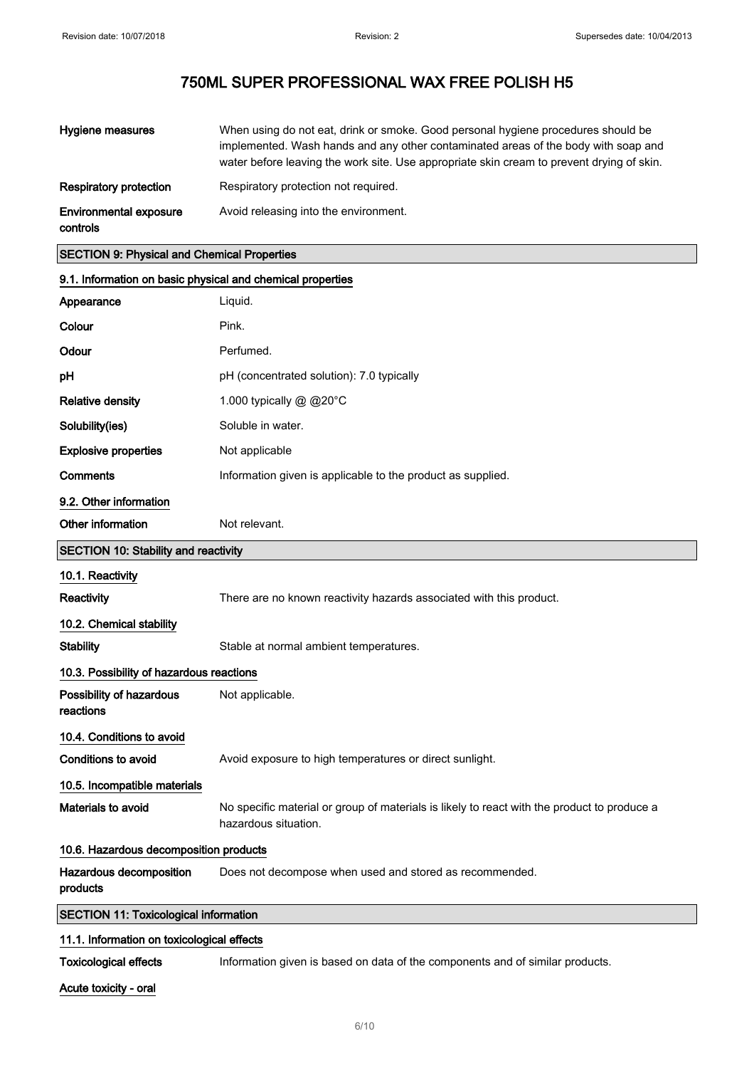| Hygiene measures                          | When using do not eat, drink or smoke. Good personal hygiene procedures should be<br>implemented. Wash hands and any other contaminated areas of the body with soap and<br>water before leaving the work site. Use appropriate skin cream to prevent drying of skin. |
|-------------------------------------------|----------------------------------------------------------------------------------------------------------------------------------------------------------------------------------------------------------------------------------------------------------------------|
| Respiratory protection                    | Respiratory protection not required.                                                                                                                                                                                                                                 |
| <b>Environmental exposure</b><br>controls | Avoid releasing into the environment.                                                                                                                                                                                                                                |

### SECTION 9: Physical and Chemical Properties

| 9.1. Information on basic physical and chemical properties |                                                                                                                     |  |
|------------------------------------------------------------|---------------------------------------------------------------------------------------------------------------------|--|
| Appearance                                                 | Liquid.                                                                                                             |  |
| Colour                                                     | Pink.                                                                                                               |  |
| Odour                                                      | Perfumed.                                                                                                           |  |
| рH                                                         | pH (concentrated solution): 7.0 typically                                                                           |  |
| <b>Relative density</b>                                    | 1.000 typically @ @20°C                                                                                             |  |
| Solubility(ies)                                            | Soluble in water.                                                                                                   |  |
| <b>Explosive properties</b>                                | Not applicable                                                                                                      |  |
| <b>Comments</b>                                            | Information given is applicable to the product as supplied.                                                         |  |
| 9.2. Other information                                     |                                                                                                                     |  |
| Other information                                          | Not relevant.                                                                                                       |  |
| <b>SECTION 10: Stability and reactivity</b>                |                                                                                                                     |  |
| 10.1. Reactivity                                           |                                                                                                                     |  |
| Reactivity                                                 | There are no known reactivity hazards associated with this product.                                                 |  |
| 10.2. Chemical stability                                   |                                                                                                                     |  |
| <b>Stability</b>                                           | Stable at normal ambient temperatures.                                                                              |  |
| 10.3. Possibility of hazardous reactions                   |                                                                                                                     |  |
| Possibility of hazardous<br>reactions                      | Not applicable.                                                                                                     |  |
| 10.4. Conditions to avoid                                  |                                                                                                                     |  |
| <b>Conditions to avoid</b>                                 | Avoid exposure to high temperatures or direct sunlight.                                                             |  |
| 10.5. Incompatible materials                               |                                                                                                                     |  |
| Materials to avoid                                         | No specific material or group of materials is likely to react with the product to produce a<br>hazardous situation. |  |
| 10.6. Hazardous decomposition products                     |                                                                                                                     |  |
| Hazardous decomposition<br>products                        | Does not decompose when used and stored as recommended.                                                             |  |
| <b>SECTION 11: Toxicological information</b>               |                                                                                                                     |  |
| 11.1. Information on toxicological effects                 |                                                                                                                     |  |
| <b>Toxicological effects</b>                               | Information given is based on data of the components and of similar products.                                       |  |

Acute toxicity - oral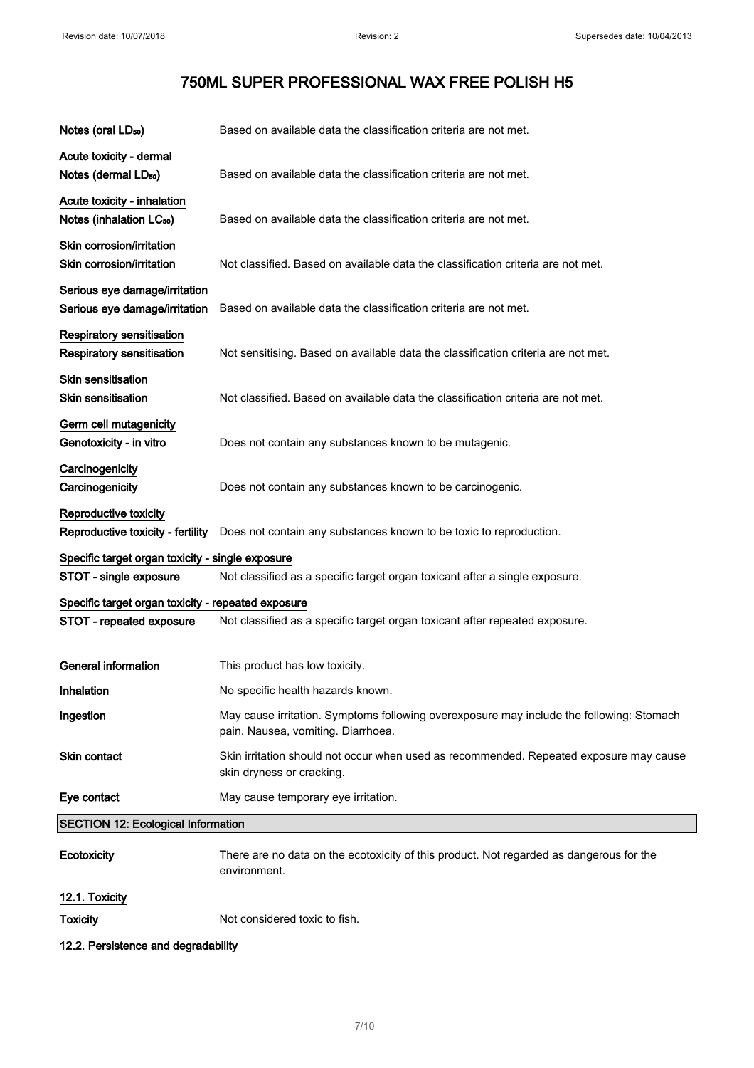| Notes (oral LD <sub>50</sub> )                                       | Based on available data the classification criteria are not met.                                                               |
|----------------------------------------------------------------------|--------------------------------------------------------------------------------------------------------------------------------|
| Acute toxicity - dermal<br>Notes (dermal LD <sub>50</sub> )          | Based on available data the classification criteria are not met.                                                               |
| Acute toxicity - inhalation<br>Notes (inhalation LC <sub>50</sub> )  | Based on available data the classification criteria are not met.                                                               |
| Skin corrosion/irritation<br>Skin corrosion/irritation               | Not classified. Based on available data the classification criteria are not met.                                               |
| Serious eye damage/irritation<br>Serious eye damage/irritation       | Based on available data the classification criteria are not met.                                                               |
| <b>Respiratory sensitisation</b><br><b>Respiratory sensitisation</b> | Not sensitising. Based on available data the classification criteria are not met.                                              |
| <b>Skin sensitisation</b><br><b>Skin sensitisation</b>               | Not classified. Based on available data the classification criteria are not met.                                               |
| Germ cell mutagenicity<br>Genotoxicity - in vitro                    | Does not contain any substances known to be mutagenic.                                                                         |
| Carcinogenicity<br>Carcinogenicity                                   | Does not contain any substances known to be carcinogenic.                                                                      |
| Reproductive toxicity<br>Reproductive toxicity - fertility           | Does not contain any substances known to be toxic to reproduction.                                                             |
| Specific target organ toxicity - single exposure                     |                                                                                                                                |
| STOT - single exposure                                               | Not classified as a specific target organ toxicant after a single exposure.                                                    |
| Specific target organ toxicity - repeated exposure                   |                                                                                                                                |
| STOT - repeated exposure                                             | Not classified as a specific target organ toxicant after repeated exposure.                                                    |
| <b>General information</b>                                           | This product has low toxicity.                                                                                                 |
| Inhalation                                                           | No specific health hazards known.                                                                                              |
| Ingestion                                                            | May cause irritation. Symptoms following overexposure may include the following: Stomach<br>pain. Nausea, vomiting. Diarrhoea. |
| Skin contact                                                         | Skin irritation should not occur when used as recommended. Repeated exposure may cause<br>skin dryness or cracking.            |
| Eye contact                                                          | May cause temporary eye irritation.                                                                                            |
| <b>SECTION 12: Ecological Information</b>                            |                                                                                                                                |
| Ecotoxicity                                                          | There are no data on the ecotoxicity of this product. Not regarded as dangerous for the<br>environment.                        |
| 12.1. Toxicity<br><b>Toxicity</b>                                    | Not considered toxic to fish.                                                                                                  |

12.2. Persistence and degradability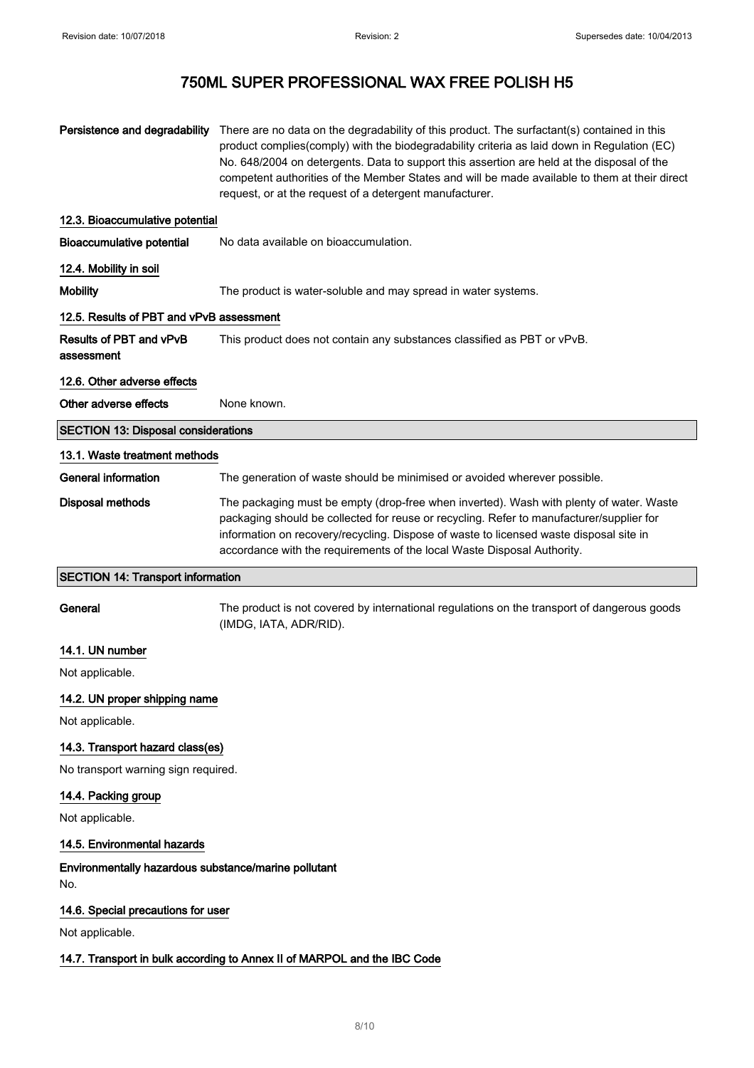| Persistence and degradability                               | There are no data on the degradability of this product. The surfactant(s) contained in this<br>product complies(comply) with the biodegradability criteria as laid down in Regulation (EC)<br>No. 648/2004 on detergents. Data to support this assertion are held at the disposal of the<br>competent authorities of the Member States and will be made available to them at their direct<br>request, or at the request of a detergent manufacturer. |  |
|-------------------------------------------------------------|------------------------------------------------------------------------------------------------------------------------------------------------------------------------------------------------------------------------------------------------------------------------------------------------------------------------------------------------------------------------------------------------------------------------------------------------------|--|
| 12.3. Bioaccumulative potential                             |                                                                                                                                                                                                                                                                                                                                                                                                                                                      |  |
| <b>Bioaccumulative potential</b>                            | No data available on bioaccumulation.                                                                                                                                                                                                                                                                                                                                                                                                                |  |
| 12.4. Mobility in soil                                      |                                                                                                                                                                                                                                                                                                                                                                                                                                                      |  |
| <b>Mobility</b>                                             | The product is water-soluble and may spread in water systems.                                                                                                                                                                                                                                                                                                                                                                                        |  |
| 12.5. Results of PBT and vPvB assessment                    |                                                                                                                                                                                                                                                                                                                                                                                                                                                      |  |
| Results of PBT and vPvB<br>assessment                       | This product does not contain any substances classified as PBT or vPvB.                                                                                                                                                                                                                                                                                                                                                                              |  |
| 12.6. Other adverse effects                                 |                                                                                                                                                                                                                                                                                                                                                                                                                                                      |  |
| Other adverse effects                                       | None known.                                                                                                                                                                                                                                                                                                                                                                                                                                          |  |
| <b>SECTION 13: Disposal considerations</b>                  |                                                                                                                                                                                                                                                                                                                                                                                                                                                      |  |
| 13.1. Waste treatment methods                               |                                                                                                                                                                                                                                                                                                                                                                                                                                                      |  |
| General information                                         | The generation of waste should be minimised or avoided wherever possible.                                                                                                                                                                                                                                                                                                                                                                            |  |
| Disposal methods                                            | The packaging must be empty (drop-free when inverted). Wash with plenty of water. Waste<br>packaging should be collected for reuse or recycling. Refer to manufacturer/supplier for<br>information on recovery/recycling. Dispose of waste to licensed waste disposal site in<br>accordance with the requirements of the local Waste Disposal Authority.                                                                                             |  |
| <b>SECTION 14: Transport information</b>                    |                                                                                                                                                                                                                                                                                                                                                                                                                                                      |  |
| General                                                     | The product is not covered by international regulations on the transport of dangerous goods<br>(IMDG, IATA, ADR/RID).                                                                                                                                                                                                                                                                                                                                |  |
| 14.1. UN number                                             |                                                                                                                                                                                                                                                                                                                                                                                                                                                      |  |
| Not applicable.                                             |                                                                                                                                                                                                                                                                                                                                                                                                                                                      |  |
| 14.2. UN proper shipping name                               |                                                                                                                                                                                                                                                                                                                                                                                                                                                      |  |
| Not applicable.                                             |                                                                                                                                                                                                                                                                                                                                                                                                                                                      |  |
| 14.3. Transport hazard class(es)                            |                                                                                                                                                                                                                                                                                                                                                                                                                                                      |  |
| No transport warning sign required.                         |                                                                                                                                                                                                                                                                                                                                                                                                                                                      |  |
| 14.4. Packing group                                         |                                                                                                                                                                                                                                                                                                                                                                                                                                                      |  |
| Not applicable.                                             |                                                                                                                                                                                                                                                                                                                                                                                                                                                      |  |
| 14.5. Environmental hazards                                 |                                                                                                                                                                                                                                                                                                                                                                                                                                                      |  |
| Environmentally hazardous substance/marine pollutant<br>No. |                                                                                                                                                                                                                                                                                                                                                                                                                                                      |  |
| 14.6. Special precautions for user                          |                                                                                                                                                                                                                                                                                                                                                                                                                                                      |  |
| Not applicable.                                             |                                                                                                                                                                                                                                                                                                                                                                                                                                                      |  |
|                                                             | 14.7. Transport in bulk according to Annex II of MARPOL and the IBC Code                                                                                                                                                                                                                                                                                                                                                                             |  |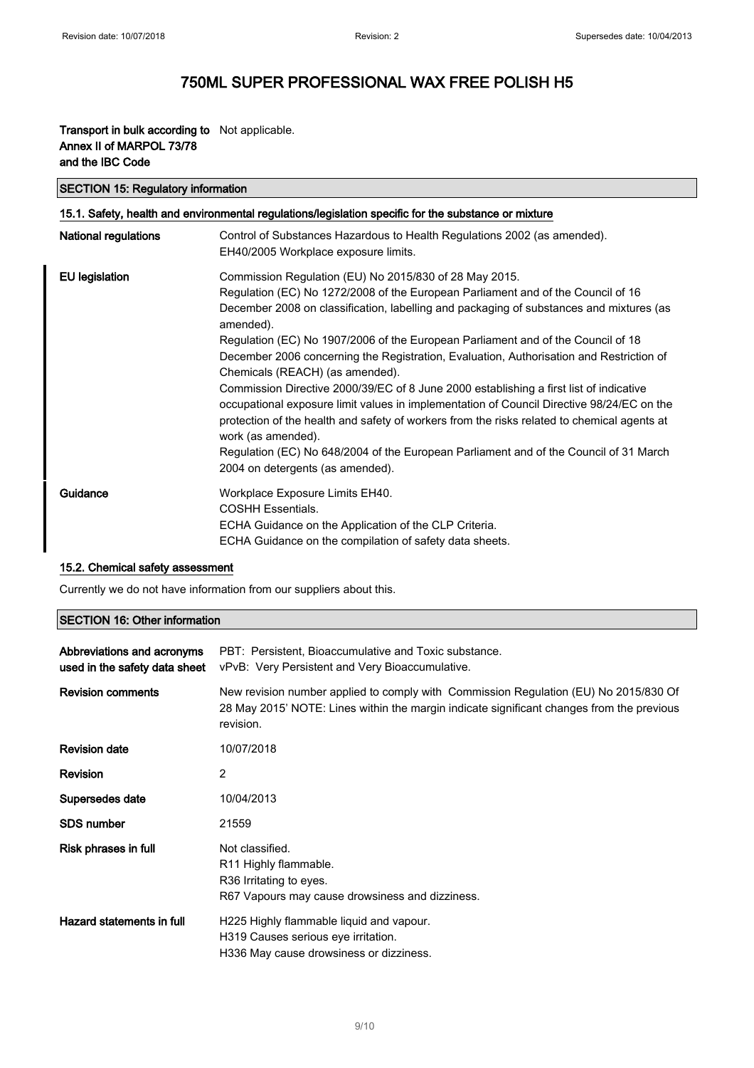۰

## 750ML SUPER PROFESSIONAL WAX FREE POLISH H5

### Transport in bulk according to Not applicable. Annex II of MARPOL 73/78 and the IBC Code

| <b>SECTION 15: Regulatory information</b>                                                            |                                                                                                                                                                                                                                                                                                                                                                                                                                                                                                                                                                                                                                                                                                                                                                                                                                                                                                               |  |
|------------------------------------------------------------------------------------------------------|---------------------------------------------------------------------------------------------------------------------------------------------------------------------------------------------------------------------------------------------------------------------------------------------------------------------------------------------------------------------------------------------------------------------------------------------------------------------------------------------------------------------------------------------------------------------------------------------------------------------------------------------------------------------------------------------------------------------------------------------------------------------------------------------------------------------------------------------------------------------------------------------------------------|--|
| 15.1. Safety, health and environmental regulations/legislation specific for the substance or mixture |                                                                                                                                                                                                                                                                                                                                                                                                                                                                                                                                                                                                                                                                                                                                                                                                                                                                                                               |  |
| <b>National regulations</b>                                                                          | Control of Substances Hazardous to Health Regulations 2002 (as amended).<br>EH40/2005 Workplace exposure limits.                                                                                                                                                                                                                                                                                                                                                                                                                                                                                                                                                                                                                                                                                                                                                                                              |  |
| <b>EU</b> legislation                                                                                | Commission Regulation (EU) No 2015/830 of 28 May 2015.<br>Regulation (EC) No 1272/2008 of the European Parliament and of the Council of 16<br>December 2008 on classification, labelling and packaging of substances and mixtures (as<br>amended).<br>Regulation (EC) No 1907/2006 of the European Parliament and of the Council of 18<br>December 2006 concerning the Registration, Evaluation, Authorisation and Restriction of<br>Chemicals (REACH) (as amended).<br>Commission Directive 2000/39/EC of 8 June 2000 establishing a first list of indicative<br>occupational exposure limit values in implementation of Council Directive 98/24/EC on the<br>protection of the health and safety of workers from the risks related to chemical agents at<br>work (as amended).<br>Regulation (EC) No 648/2004 of the European Parliament and of the Council of 31 March<br>2004 on detergents (as amended). |  |
| Guidance                                                                                             | Workplace Exposure Limits EH40.<br><b>COSHH Essentials.</b><br>ECHA Guidance on the Application of the CLP Criteria.<br>ECHA Guidance on the compilation of safety data sheets.                                                                                                                                                                                                                                                                                                                                                                                                                                                                                                                                                                                                                                                                                                                               |  |

### 15.2. Chemical safety assessment

Currently we do not have information from our suppliers about this.

### SECTION 16: Other information

| Abbreviations and acronyms<br>used in the safety data sheet | PBT: Persistent, Bioaccumulative and Toxic substance.<br>vPvB: Very Persistent and Very Bioaccumulative.                                                                                       |
|-------------------------------------------------------------|------------------------------------------------------------------------------------------------------------------------------------------------------------------------------------------------|
| <b>Revision comments</b>                                    | New revision number applied to comply with Commission Regulation (EU) No 2015/830 Of<br>28 May 2015' NOTE: Lines within the margin indicate significant changes from the previous<br>revision. |
| <b>Revision date</b>                                        | 10/07/2018                                                                                                                                                                                     |
| <b>Revision</b>                                             | 2                                                                                                                                                                                              |
| Supersedes date                                             | 10/04/2013                                                                                                                                                                                     |
| <b>SDS number</b>                                           | 21559                                                                                                                                                                                          |
| Risk phrases in full                                        | Not classified.<br>R <sub>11</sub> Highly flammable.<br>R <sub>36</sub> Irritating to eyes.<br>R67 Vapours may cause drowsiness and dizziness.                                                 |
| Hazard statements in full                                   | H225 Highly flammable liquid and vapour.<br>H319 Causes serious eye irritation.<br>H336 May cause drowsiness or dizziness.                                                                     |